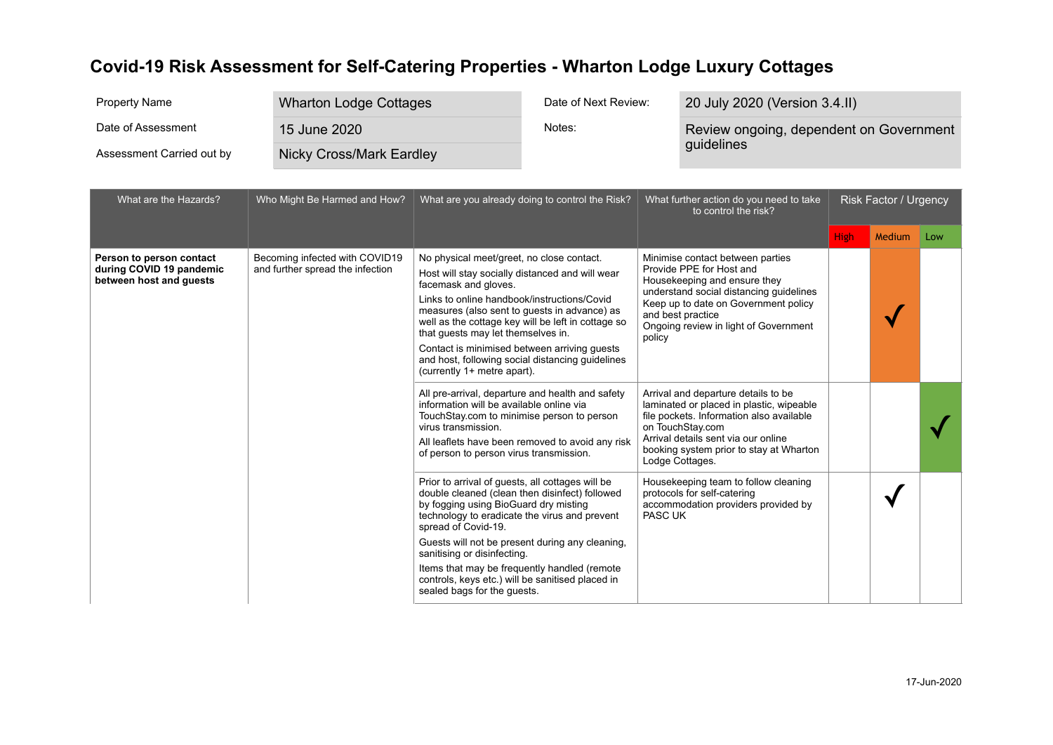| <b>Property Name</b>                                                            | <b>Wharton Lodge Cottages</b>                                      |                                                                                                                                                                                                                                                                                                                                                                                       | Date of Next Review:                                                                                   | 20 July 2020 (Version 3.4.II) |                                                                                                                                                                                                                                                      |             |                       |     |
|---------------------------------------------------------------------------------|--------------------------------------------------------------------|---------------------------------------------------------------------------------------------------------------------------------------------------------------------------------------------------------------------------------------------------------------------------------------------------------------------------------------------------------------------------------------|--------------------------------------------------------------------------------------------------------|-------------------------------|------------------------------------------------------------------------------------------------------------------------------------------------------------------------------------------------------------------------------------------------------|-------------|-----------------------|-----|
| Date of Assessment                                                              | 15 June 2020                                                       |                                                                                                                                                                                                                                                                                                                                                                                       | Notes:                                                                                                 |                               | Review ongoing, dependent on Government                                                                                                                                                                                                              |             |                       |     |
| Assessment Carried out by                                                       | <b>Nicky Cross/Mark Eardley</b>                                    |                                                                                                                                                                                                                                                                                                                                                                                       |                                                                                                        |                               | guidelines                                                                                                                                                                                                                                           |             |                       |     |
|                                                                                 |                                                                    |                                                                                                                                                                                                                                                                                                                                                                                       |                                                                                                        |                               |                                                                                                                                                                                                                                                      |             |                       |     |
| What are the Hazards?                                                           | Who Might Be Harmed and How?                                       |                                                                                                                                                                                                                                                                                                                                                                                       | What are you already doing to control the Risk?                                                        |                               | What further action do you need to take<br>to control the risk?                                                                                                                                                                                      |             | Risk Factor / Urgency |     |
|                                                                                 |                                                                    |                                                                                                                                                                                                                                                                                                                                                                                       |                                                                                                        |                               |                                                                                                                                                                                                                                                      | <b>High</b> | Medium                | Low |
| Person to person contact<br>during COVID 19 pandemic<br>between host and guests | Becoming infected with COVID19<br>and further spread the infection | No physical meet/greet, no close contact.<br>Host will stay socially distanced and will wear<br>facemask and gloves.<br>Links to online handbook/instructions/Covid<br>measures (also sent to guests in advance) as<br>that guests may let themselves in.<br>Contact is minimised between arriving quests<br>(currently 1+ metre apart).                                              | well as the cottage key will be left in cottage so<br>and host, following social distancing guidelines | policy                        | Minimise contact between parties<br>Provide PPE for Host and<br>Housekeeping and ensure they<br>understand social distancing guidelines<br>Keep up to date on Government policy<br>and best practice<br>Ongoing review in light of Government        |             |                       |     |
|                                                                                 |                                                                    | information will be available online via<br>TouchStay.com to minimise person to person<br>virus transmission.<br>of person to person virus transmission.                                                                                                                                                                                                                              | All pre-arrival, departure and health and safety<br>All leaflets have been removed to avoid any risk   |                               | Arrival and departure details to be<br>laminated or placed in plastic, wipeable<br>file pockets. Information also available<br>on TouchStay.com<br>Arrival details sent via our online<br>booking system prior to stay at Wharton<br>Lodge Cottages. |             |                       |     |
|                                                                                 |                                                                    | Prior to arrival of guests, all cottages will be<br>double cleaned (clean then disinfect) followed<br>by fogging using BioGuard dry misting<br>technology to eradicate the virus and prevent<br>spread of Covid-19.<br>sanitising or disinfecting.<br>Items that may be frequently handled (remote<br>controls, keys etc.) will be sanitised placed in<br>sealed bags for the guests. | Guests will not be present during any cleaning,                                                        | PASC UK                       | Housekeeping team to follow cleaning<br>protocols for self-catering<br>accommodation providers provided by                                                                                                                                           |             |                       |     |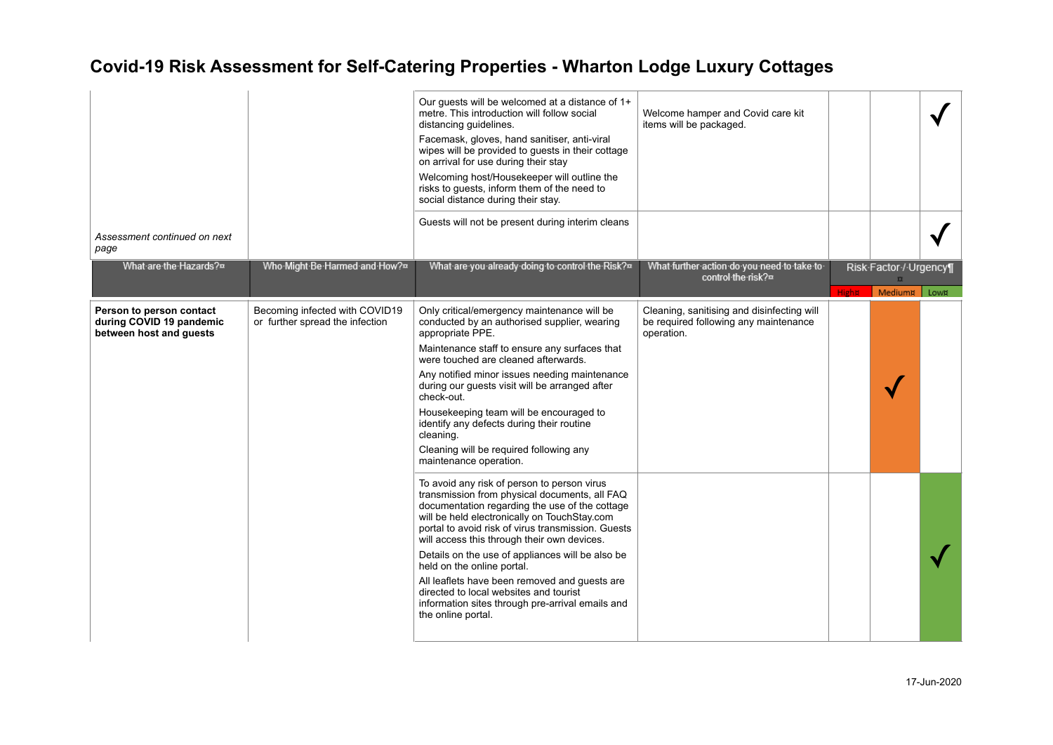| Assessment continued on next<br>page                                            |                                                                   | Our guests will be welcomed at a distance of 1+<br>metre. This introduction will follow social<br>distancing guidelines.<br>Facemask, gloves, hand sanitiser, anti-viral<br>wipes will be provided to guests in their cottage<br>on arrival for use during their stay<br>Welcoming host/Housekeeper will outline the<br>risks to guests, inform them of the need to<br>social distance during their stay.<br>Guests will not be present during interim cleans                                                                                              | Welcome hamper and Covid care kit<br>items will be packaged.                                      |              |                                                   |  |
|---------------------------------------------------------------------------------|-------------------------------------------------------------------|------------------------------------------------------------------------------------------------------------------------------------------------------------------------------------------------------------------------------------------------------------------------------------------------------------------------------------------------------------------------------------------------------------------------------------------------------------------------------------------------------------------------------------------------------------|---------------------------------------------------------------------------------------------------|--------------|---------------------------------------------------|--|
| What-are-the-Hazards?¤                                                          | Who Might Be Harmed and How?»                                     | What are you already doing to control the Risk?¤                                                                                                                                                                                                                                                                                                                                                                                                                                                                                                           | What further action do you need to take to<br>control the risk?¤                                  |              | Risk-Factor-/-Urgency¶<br>$\overline{\mathbf{x}}$ |  |
|                                                                                 |                                                                   |                                                                                                                                                                                                                                                                                                                                                                                                                                                                                                                                                            |                                                                                                   | <b>Hight</b> | Mediumx Lowx                                      |  |
| Person to person contact<br>during COVID 19 pandemic<br>between host and guests | Becoming infected with COVID19<br>or further spread the infection | Only critical/emergency maintenance will be<br>conducted by an authorised supplier, wearing<br>appropriate PPE.<br>Maintenance staff to ensure any surfaces that<br>were touched are cleaned afterwards.<br>Any notified minor issues needing maintenance<br>during our guests visit will be arranged after<br>check-out.<br>Housekeeping team will be encouraged to<br>identify any defects during their routine<br>cleaning.<br>Cleaning will be required following any<br>maintenance operation.                                                        | Cleaning, sanitising and disinfecting will<br>be required following any maintenance<br>operation. |              |                                                   |  |
|                                                                                 |                                                                   | To avoid any risk of person to person virus<br>transmission from physical documents, all FAQ<br>documentation regarding the use of the cottage<br>will be held electronically on TouchStay.com<br>portal to avoid risk of virus transmission. Guests<br>will access this through their own devices.<br>Details on the use of appliances will be also be<br>held on the online portal.<br>All leaflets have been removed and guests are<br>directed to local websites and tourist<br>information sites through pre-arrival emails and<br>the online portal. |                                                                                                   |              |                                                   |  |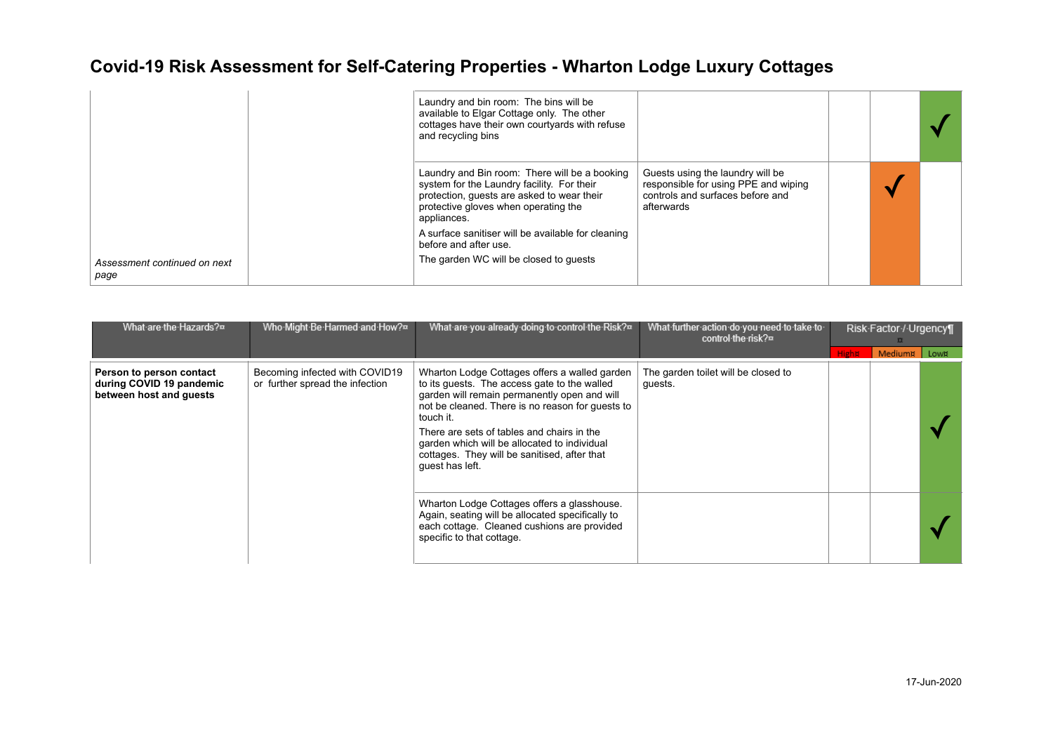|                                      | Laundry and bin room: The bins will be<br>available to Elgar Cottage only. The other<br>cottages have their own courtyards with refuse<br>and recycling bins                                     |                                                                                                                            |  |  |
|--------------------------------------|--------------------------------------------------------------------------------------------------------------------------------------------------------------------------------------------------|----------------------------------------------------------------------------------------------------------------------------|--|--|
|                                      | Laundry and Bin room: There will be a booking<br>system for the Laundry facility. For their<br>protection, quests are asked to wear their<br>protective gloves when operating the<br>appliances. | Guests using the laundry will be<br>responsible for using PPE and wiping<br>controls and surfaces before and<br>afterwards |  |  |
|                                      | A surface sanitiser will be available for cleaning<br>before and after use.                                                                                                                      |                                                                                                                            |  |  |
| Assessment continued on next<br>page | The garden WC will be closed to quests                                                                                                                                                           |                                                                                                                            |  |  |

| What are the Hazards?¤                                                          | Who Might Be Harmed and How?¤                                     | What are you already doing to control the Risk?¤                                                                                                                                                                                                                                                                                                                                | What further action do you need to take to<br>control-the-risk?¤ | Risk-Factor-/-Urgency¶ |         |      |  |
|---------------------------------------------------------------------------------|-------------------------------------------------------------------|---------------------------------------------------------------------------------------------------------------------------------------------------------------------------------------------------------------------------------------------------------------------------------------------------------------------------------------------------------------------------------|------------------------------------------------------------------|------------------------|---------|------|--|
|                                                                                 |                                                                   |                                                                                                                                                                                                                                                                                                                                                                                 |                                                                  | Hight                  | Medium¤ | Low¤ |  |
| Person to person contact<br>during COVID 19 pandemic<br>between host and quests | Becoming infected with COVID19<br>or further spread the infection | Wharton Lodge Cottages offers a walled garden<br>to its guests. The access gate to the walled<br>garden will remain permanently open and will<br>not be cleaned. There is no reason for quests to<br>touch it.<br>There are sets of tables and chairs in the<br>garden which will be allocated to individual<br>cottages. They will be sanitised, after that<br>guest has left. | The garden toilet will be closed to<br>guests.                   |                        |         |      |  |
|                                                                                 |                                                                   | Wharton Lodge Cottages offers a glasshouse.<br>Again, seating will be allocated specifically to<br>each cottage. Cleaned cushions are provided<br>specific to that cottage.                                                                                                                                                                                                     |                                                                  |                        |         |      |  |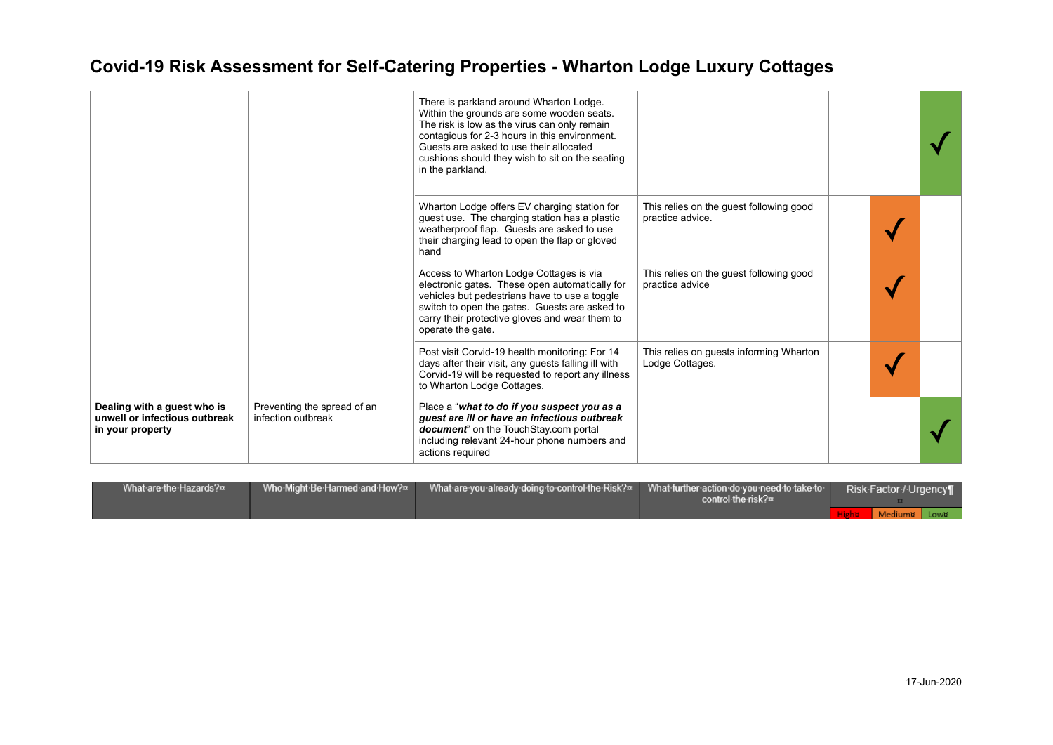|                                                                                  |                                                   | There is parkland around Wharton Lodge.<br>Within the grounds are some wooden seats.<br>The risk is low as the virus can only remain<br>contagious for 2-3 hours in this environment.<br>Guests are asked to use their allocated<br>cushions should they wish to sit on the seating<br>in the parkland. |                                                             |  |  |
|----------------------------------------------------------------------------------|---------------------------------------------------|---------------------------------------------------------------------------------------------------------------------------------------------------------------------------------------------------------------------------------------------------------------------------------------------------------|-------------------------------------------------------------|--|--|
|                                                                                  |                                                   | Wharton Lodge offers EV charging station for<br>guest use. The charging station has a plastic<br>weatherproof flap. Guests are asked to use<br>their charging lead to open the flap or gloved<br>hand                                                                                                   | This relies on the guest following good<br>practice advice. |  |  |
|                                                                                  |                                                   | Access to Wharton Lodge Cottages is via<br>electronic gates. These open automatically for<br>vehicles but pedestrians have to use a toggle<br>switch to open the gates. Guests are asked to<br>carry their protective gloves and wear them to<br>operate the gate.                                      | This relies on the guest following good<br>practice advice  |  |  |
|                                                                                  |                                                   | Post visit Corvid-19 health monitoring: For 14<br>days after their visit, any guests falling ill with<br>Corvid-19 will be requested to report any illness<br>to Wharton Lodge Cottages.                                                                                                                | This relies on guests informing Wharton<br>Lodge Cottages.  |  |  |
| Dealing with a guest who is<br>unwell or infectious outbreak<br>in your property | Preventing the spread of an<br>infection outbreak | Place a "what to do if you suspect you as a<br>guest are ill or have an infectious outbreak<br>document" on the TouchStay.com portal<br>including relevant 24-hour phone numbers and<br>actions required                                                                                                |                                                             |  |  |

| What are the Hazards?¤ | Who Might Be Harmed and How?¤ | Mhat·are·you·already·doing·to·control·the·Risk?¤ | What further action do you need to take to<br>control the risk?¤ ' | Risk-Factor-/-Urgency¶ |
|------------------------|-------------------------------|--------------------------------------------------|--------------------------------------------------------------------|------------------------|
|                        |                               |                                                  |                                                                    | Mediumi Lowi           |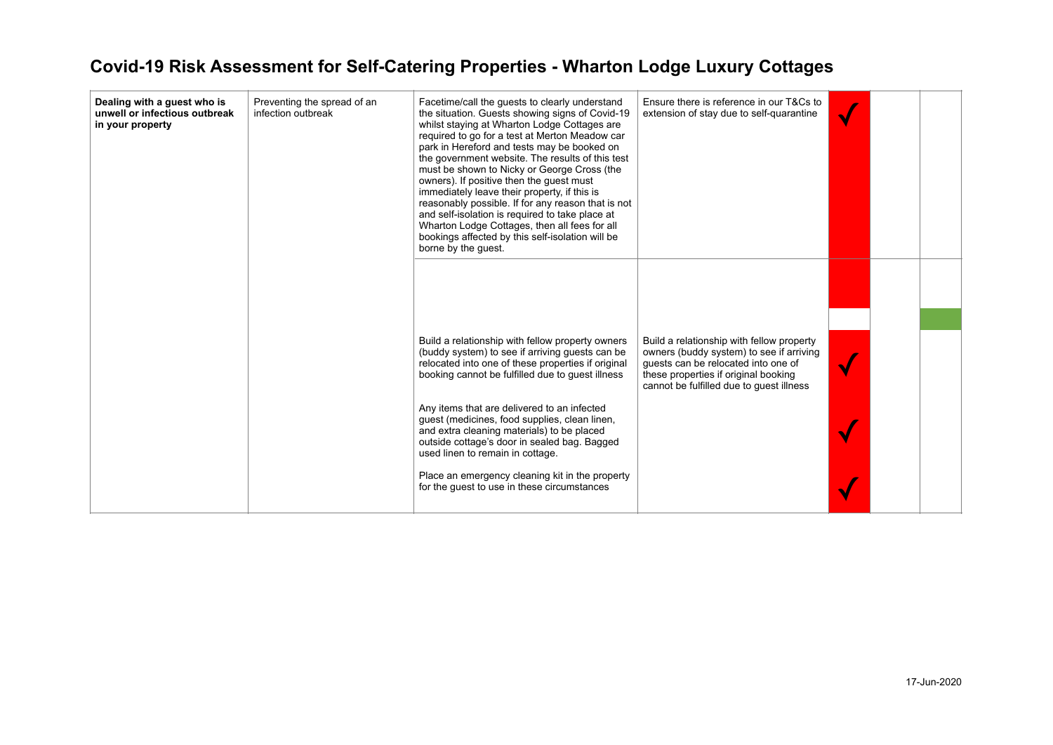| Dealing with a guest who is<br>unwell or infectious outbreak<br>in your property | Preventing the spread of an<br>infection outbreak | Facetime/call the guests to clearly understand<br>the situation. Guests showing signs of Covid-19<br>whilst staying at Wharton Lodge Cottages are<br>required to go for a test at Merton Meadow car<br>park in Hereford and tests may be booked on<br>the government website. The results of this test<br>must be shown to Nicky or George Cross (the<br>owners). If positive then the guest must<br>immediately leave their property, if this is<br>reasonably possible. If for any reason that is not<br>and self-isolation is required to take place at<br>Wharton Lodge Cottages, then all fees for all<br>bookings affected by this self-isolation will be<br>borne by the guest. | Ensure there is reference in our T&Cs to<br>extension of stay due to self-quarantine                                                                                                                             | $\checkmark$ |  |
|----------------------------------------------------------------------------------|---------------------------------------------------|----------------------------------------------------------------------------------------------------------------------------------------------------------------------------------------------------------------------------------------------------------------------------------------------------------------------------------------------------------------------------------------------------------------------------------------------------------------------------------------------------------------------------------------------------------------------------------------------------------------------------------------------------------------------------------------|------------------------------------------------------------------------------------------------------------------------------------------------------------------------------------------------------------------|--------------|--|
|                                                                                  |                                                   |                                                                                                                                                                                                                                                                                                                                                                                                                                                                                                                                                                                                                                                                                        |                                                                                                                                                                                                                  |              |  |
|                                                                                  |                                                   | Build a relationship with fellow property owners<br>(buddy system) to see if arriving guests can be<br>relocated into one of these properties if original<br>booking cannot be fulfilled due to guest illness                                                                                                                                                                                                                                                                                                                                                                                                                                                                          | Build a relationship with fellow property<br>owners (buddy system) to see if arriving<br>quests can be relocated into one of<br>these properties if original booking<br>cannot be fulfilled due to guest illness | $\checkmark$ |  |
|                                                                                  |                                                   | Any items that are delivered to an infected<br>guest (medicines, food supplies, clean linen,<br>and extra cleaning materials) to be placed<br>outside cottage's door in sealed bag. Bagged<br>used linen to remain in cottage.                                                                                                                                                                                                                                                                                                                                                                                                                                                         |                                                                                                                                                                                                                  |              |  |
|                                                                                  |                                                   | Place an emergency cleaning kit in the property<br>for the guest to use in these circumstances                                                                                                                                                                                                                                                                                                                                                                                                                                                                                                                                                                                         |                                                                                                                                                                                                                  |              |  |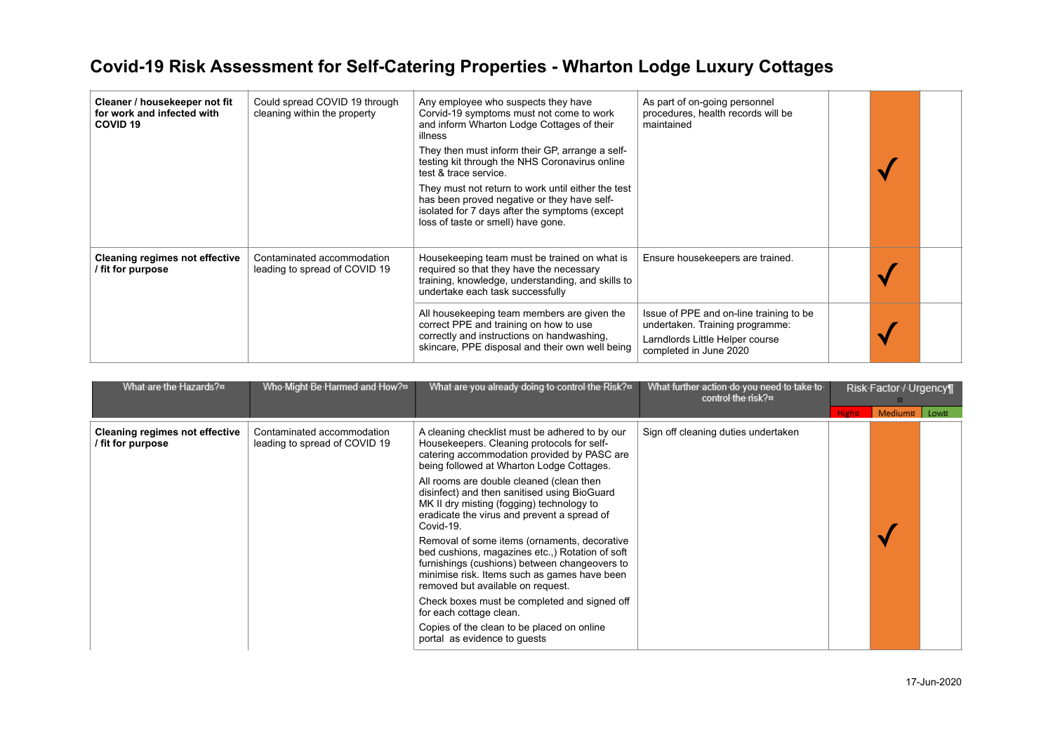| Cleaner / housekeeper not fit<br>for work and infected with<br><b>COVID 19</b> | Could spread COVID 19 through<br>cleaning within the property | Any employee who suspects they have<br>Corvid-19 symptoms must not come to work<br>and inform Wharton Lodge Cottages of their<br>illness<br>They then must inform their GP, arrange a self-<br>testing kit through the NHS Coronavirus online<br>test & trace service.<br>They must not return to work until either the test<br>has been proved negative or they have self-<br>isolated for 7 days after the symptoms (except<br>loss of taste or smell) have gone. | As part of on-going personnel<br>procedures, health records will be<br>maintained                                                       |  |  |
|--------------------------------------------------------------------------------|---------------------------------------------------------------|---------------------------------------------------------------------------------------------------------------------------------------------------------------------------------------------------------------------------------------------------------------------------------------------------------------------------------------------------------------------------------------------------------------------------------------------------------------------|-----------------------------------------------------------------------------------------------------------------------------------------|--|--|
| <b>Cleaning regimes not effective</b><br>/ fit for purpose                     | Contaminated accommodation<br>leading to spread of COVID 19   | Housekeeping team must be trained on what is<br>required so that they have the necessary<br>training, knowledge, understanding, and skills to<br>undertake each task successfully                                                                                                                                                                                                                                                                                   | Ensure housekeepers are trained.                                                                                                        |  |  |
|                                                                                |                                                               | All housekeeping team members are given the<br>correct PPE and training on how to use<br>correctly and instructions on handwashing,<br>skincare, PPE disposal and their own well being                                                                                                                                                                                                                                                                              | Issue of PPE and on-line training to be<br>undertaken. Training programme:<br>Larndlords Little Helper course<br>completed in June 2020 |  |  |

| What are the Hazards?¤                                     | Who Might Be Harmed and How?¤                                                                                                                                                                                                         | What are you already doing to control the Risk?¤                                                                                                                                                  | What further action do you need to take to<br>control-the-risk?¤ | Risk-Factor-/-Urgency¶ |         |      |
|------------------------------------------------------------|---------------------------------------------------------------------------------------------------------------------------------------------------------------------------------------------------------------------------------------|---------------------------------------------------------------------------------------------------------------------------------------------------------------------------------------------------|------------------------------------------------------------------|------------------------|---------|------|
|                                                            |                                                                                                                                                                                                                                       |                                                                                                                                                                                                   |                                                                  |                        | Medium¤ | Low¤ |
| <b>Cleaning regimes not effective</b><br>/ fit for purpose | Contaminated accommodation<br>leading to spread of COVID 19                                                                                                                                                                           | A cleaning checklist must be adhered to by our<br>Housekeepers. Cleaning protocols for self-<br>catering accommodation provided by PASC are<br>being followed at Wharton Lodge Cottages.          | Sign off cleaning duties undertaken                              |                        |         |      |
|                                                            |                                                                                                                                                                                                                                       | All rooms are double cleaned (clean then<br>disinfect) and then sanitised using BioGuard<br>MK II dry misting (fogging) technology to<br>eradicate the virus and prevent a spread of<br>Covid-19. |                                                                  |                        |         |      |
|                                                            | Removal of some items (ornaments, decorative<br>bed cushions, magazines etc.,) Rotation of soft<br>furnishings (cushions) between changeovers to<br>minimise risk. Items such as games have been<br>removed but available on request. |                                                                                                                                                                                                   |                                                                  |                        |         |      |
|                                                            |                                                                                                                                                                                                                                       | Check boxes must be completed and signed off<br>for each cottage clean.                                                                                                                           |                                                                  |                        |         |      |
|                                                            |                                                                                                                                                                                                                                       | Copies of the clean to be placed on online<br>portal as evidence to guests                                                                                                                        |                                                                  |                        |         |      |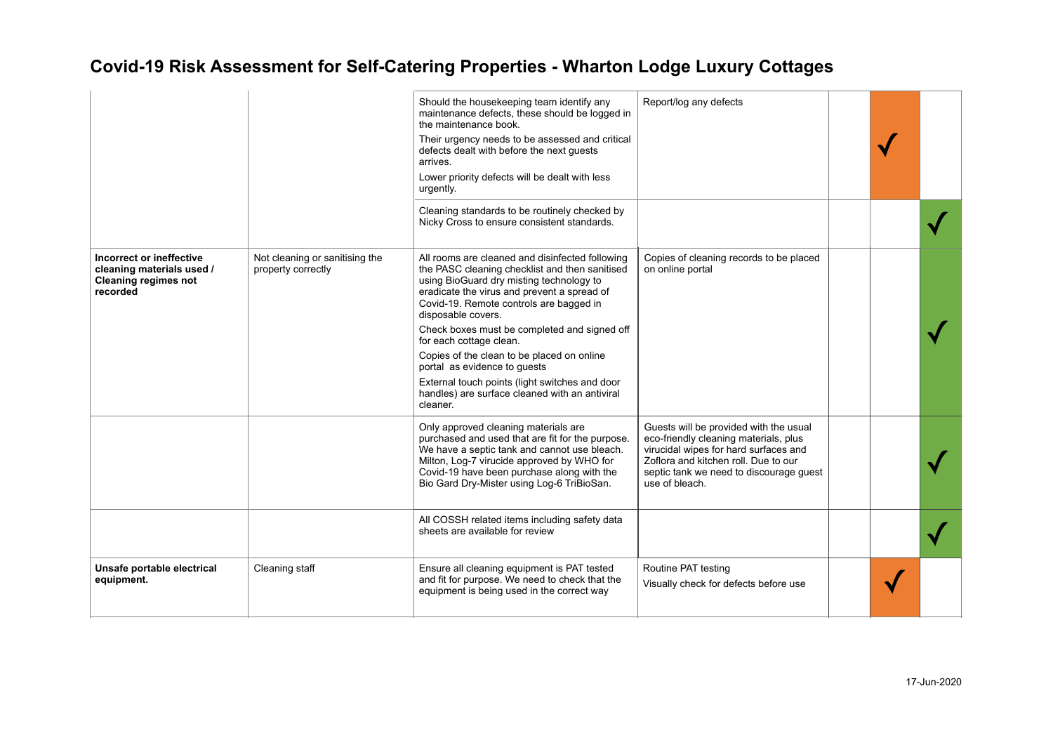|                                                                                                  |                                                      | Should the housekeeping team identify any<br>maintenance defects, these should be logged in<br>the maintenance book.<br>Their urgency needs to be assessed and critical<br>defects dealt with before the next guests<br>arrives.<br>Lower priority defects will be dealt with less<br>urgently.<br>Cleaning standards to be routinely checked by<br>Nicky Cross to ensure consistent standards.                                                                                                                                        | Report/log any defects                                                                                                                                                                                                        |  |  |
|--------------------------------------------------------------------------------------------------|------------------------------------------------------|----------------------------------------------------------------------------------------------------------------------------------------------------------------------------------------------------------------------------------------------------------------------------------------------------------------------------------------------------------------------------------------------------------------------------------------------------------------------------------------------------------------------------------------|-------------------------------------------------------------------------------------------------------------------------------------------------------------------------------------------------------------------------------|--|--|
| Incorrect or ineffective<br>cleaning materials used /<br><b>Cleaning regimes not</b><br>recorded | Not cleaning or sanitising the<br>property correctly | All rooms are cleaned and disinfected following<br>the PASC cleaning checklist and then sanitised<br>using BioGuard dry misting technology to<br>eradicate the virus and prevent a spread of<br>Covid-19. Remote controls are bagged in<br>disposable covers.<br>Check boxes must be completed and signed off<br>for each cottage clean.<br>Copies of the clean to be placed on online<br>portal as evidence to guests<br>External touch points (light switches and door<br>handles) are surface cleaned with an antiviral<br>cleaner. | Copies of cleaning records to be placed<br>on online portal                                                                                                                                                                   |  |  |
|                                                                                                  |                                                      | Only approved cleaning materials are<br>purchased and used that are fit for the purpose.<br>We have a septic tank and cannot use bleach.<br>Milton, Log-7 virucide approved by WHO for<br>Covid-19 have been purchase along with the<br>Bio Gard Dry-Mister using Log-6 TriBioSan.                                                                                                                                                                                                                                                     | Guests will be provided with the usual<br>eco-friendly cleaning materials, plus<br>virucidal wipes for hard surfaces and<br>Zoflora and kitchen roll. Due to our<br>septic tank we need to discourage guest<br>use of bleach. |  |  |
|                                                                                                  |                                                      | All COSSH related items including safety data<br>sheets are available for review                                                                                                                                                                                                                                                                                                                                                                                                                                                       |                                                                                                                                                                                                                               |  |  |
| Unsafe portable electrical<br>equipment.                                                         | Cleaning staff                                       | Ensure all cleaning equipment is PAT tested<br>and fit for purpose. We need to check that the<br>equipment is being used in the correct way                                                                                                                                                                                                                                                                                                                                                                                            | Routine PAT testing<br>Visually check for defects before use                                                                                                                                                                  |  |  |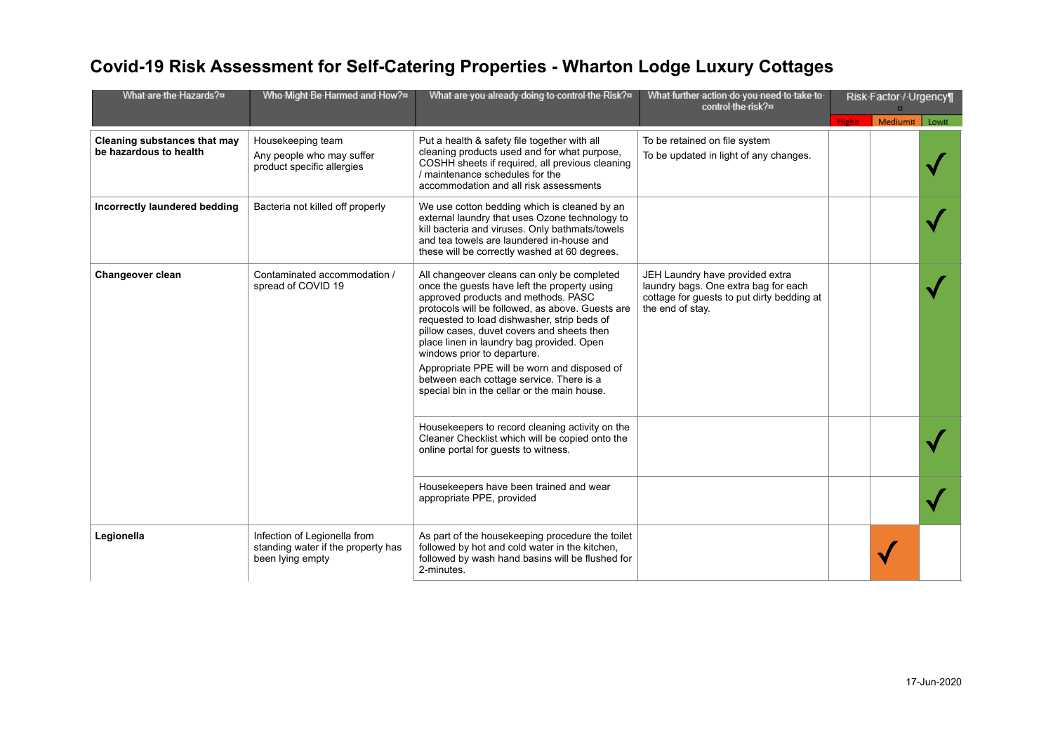| What are the Hazards?¤                                 | Who Might Be Harmed and How?»                                                          | What are you already doing to control the Risk?¤                                                                                                                                                                                                                                                                                                                                                                                                                                                            | What further action do you need to take to<br>control the risk?¤                                                                          | Risk-Factor-/-Urgency¶ |         |      |  |
|--------------------------------------------------------|----------------------------------------------------------------------------------------|-------------------------------------------------------------------------------------------------------------------------------------------------------------------------------------------------------------------------------------------------------------------------------------------------------------------------------------------------------------------------------------------------------------------------------------------------------------------------------------------------------------|-------------------------------------------------------------------------------------------------------------------------------------------|------------------------|---------|------|--|
|                                                        |                                                                                        |                                                                                                                                                                                                                                                                                                                                                                                                                                                                                                             |                                                                                                                                           | Hight                  | Medium¤ | Low¤ |  |
| Cleaning substances that may<br>be hazardous to health | Housekeeping team<br>Any people who may suffer<br>product specific allergies           | Put a health & safety file together with all<br>cleaning products used and for what purpose,<br>COSHH sheets if required, all previous cleaning<br>/ maintenance schedules for the<br>accommodation and all risk assessments                                                                                                                                                                                                                                                                                | To be retained on file system<br>To be updated in light of any changes.                                                                   |                        |         |      |  |
| Incorrectly laundered bedding                          | Bacteria not killed off properly                                                       | We use cotton bedding which is cleaned by an<br>external laundry that uses Ozone technology to<br>kill bacteria and viruses. Only bathmats/towels<br>and tea towels are laundered in-house and<br>these will be correctly washed at 60 degrees.                                                                                                                                                                                                                                                             |                                                                                                                                           |                        |         |      |  |
| Changeover clean                                       | Contaminated accommodation /<br>spread of COVID 19                                     | All changeover cleans can only be completed<br>once the guests have left the property using<br>approved products and methods. PASC<br>protocols will be followed, as above. Guests are<br>requested to load dishwasher, strip beds of<br>pillow cases, duvet covers and sheets then<br>place linen in laundry bag provided. Open<br>windows prior to departure.<br>Appropriate PPE will be worn and disposed of<br>between each cottage service. There is a<br>special bin in the cellar or the main house. | JEH Laundry have provided extra<br>laundry bags. One extra bag for each<br>cottage for guests to put dirty bedding at<br>the end of stay. |                        |         |      |  |
|                                                        |                                                                                        | Housekeepers to record cleaning activity on the<br>Cleaner Checklist which will be copied onto the<br>online portal for guests to witness.                                                                                                                                                                                                                                                                                                                                                                  |                                                                                                                                           |                        |         |      |  |
|                                                        |                                                                                        | Housekeepers have been trained and wear<br>appropriate PPE, provided                                                                                                                                                                                                                                                                                                                                                                                                                                        |                                                                                                                                           |                        |         |      |  |
| Legionella                                             | Infection of Legionella from<br>standing water if the property has<br>been lying empty | As part of the housekeeping procedure the toilet<br>followed by hot and cold water in the kitchen,<br>followed by wash hand basins will be flushed for<br>2-minutes.                                                                                                                                                                                                                                                                                                                                        |                                                                                                                                           |                        |         |      |  |